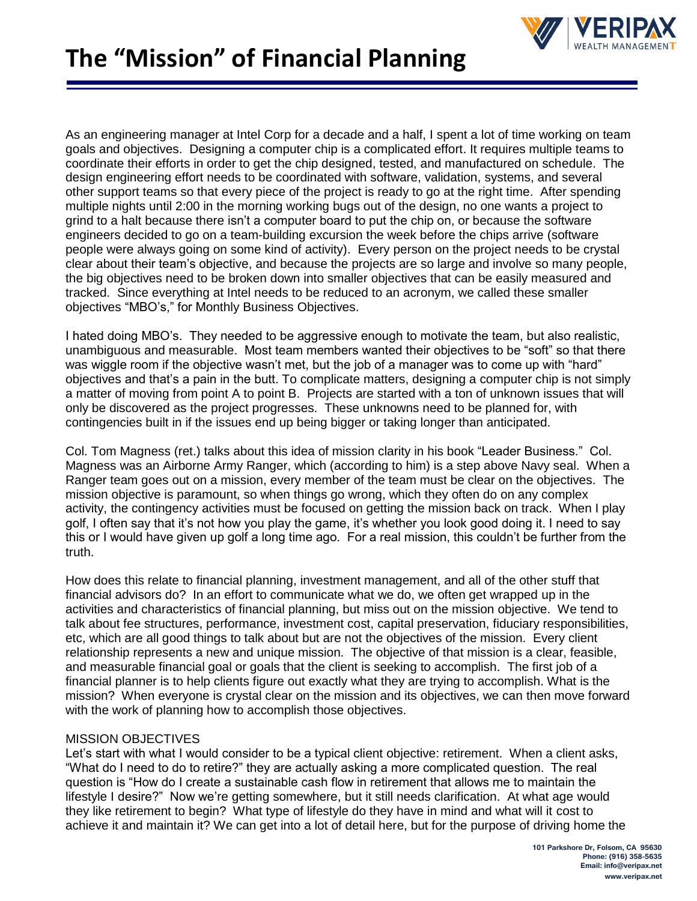

As an engineering manager at Intel Corp for a decade and a half, I spent a lot of time working on team goals and objectives. Designing a computer chip is a complicated effort. It requires multiple teams to coordinate their efforts in order to get the chip designed, tested, and manufactured on schedule. The design engineering effort needs to be coordinated with software, validation, systems, and several other support teams so that every piece of the project is ready to go at the right time. After spending multiple nights until 2:00 in the morning working bugs out of the design, no one wants a project to grind to a halt because there isn't a computer board to put the chip on, or because the software engineers decided to go on a team-building excursion the week before the chips arrive (software people were always going on some kind of activity). Every person on the project needs to be crystal clear about their team's objective, and because the projects are so large and involve so many people, the big objectives need to be broken down into smaller objectives that can be easily measured and tracked. Since everything at Intel needs to be reduced to an acronym, we called these smaller objectives "MBO's," for Monthly Business Objectives.

I hated doing MBO's. They needed to be aggressive enough to motivate the team, but also realistic, unambiguous and measurable. Most team members wanted their objectives to be "soft" so that there was wiggle room if the objective wasn't met, but the job of a manager was to come up with "hard" objectives and that's a pain in the butt. To complicate matters, designing a computer chip is not simply a matter of moving from point A to point B. Projects are started with a ton of unknown issues that will only be discovered as the project progresses. These unknowns need to be planned for, with contingencies built in if the issues end up being bigger or taking longer than anticipated.

Col. Tom Magness (ret.) talks about this idea of mission clarity in his book "Leader Business." Col. Magness was an Airborne Army Ranger, which (according to him) is a step above Navy seal. When a Ranger team goes out on a mission, every member of the team must be clear on the objectives. The mission objective is paramount, so when things go wrong, which they often do on any complex activity, the contingency activities must be focused on getting the mission back on track. When I play golf, I often say that it's not how you play the game, it's whether you look good doing it. I need to say this or I would have given up golf a long time ago. For a real mission, this couldn't be further from the truth.

How does this relate to financial planning, investment management, and all of the other stuff that financial advisors do? In an effort to communicate what we do, we often get wrapped up in the activities and characteristics of financial planning, but miss out on the mission objective. We tend to talk about fee structures, performance, investment cost, capital preservation, fiduciary responsibilities, etc, which are all good things to talk about but are not the objectives of the mission. Every client relationship represents a new and unique mission. The objective of that mission is a clear, feasible, and measurable financial goal or goals that the client is seeking to accomplish. The first job of a financial planner is to help clients figure out exactly what they are trying to accomplish. What is the mission? When everyone is crystal clear on the mission and its objectives, we can then move forward with the work of planning how to accomplish those objectives.

## MISSION OBJECTIVES

Let's start with what I would consider to be a typical client objective: retirement. When a client asks, "What do I need to do to retire?" they are actually asking a more complicated question. The real question is "How do I create a sustainable cash flow in retirement that allows me to maintain the lifestyle I desire?" Now we're getting somewhere, but it still needs clarification. At what age would they like retirement to begin? What type of lifestyle do they have in mind and what will it cost to achieve it and maintain it? We can get into a lot of detail here, but for the purpose of driving home the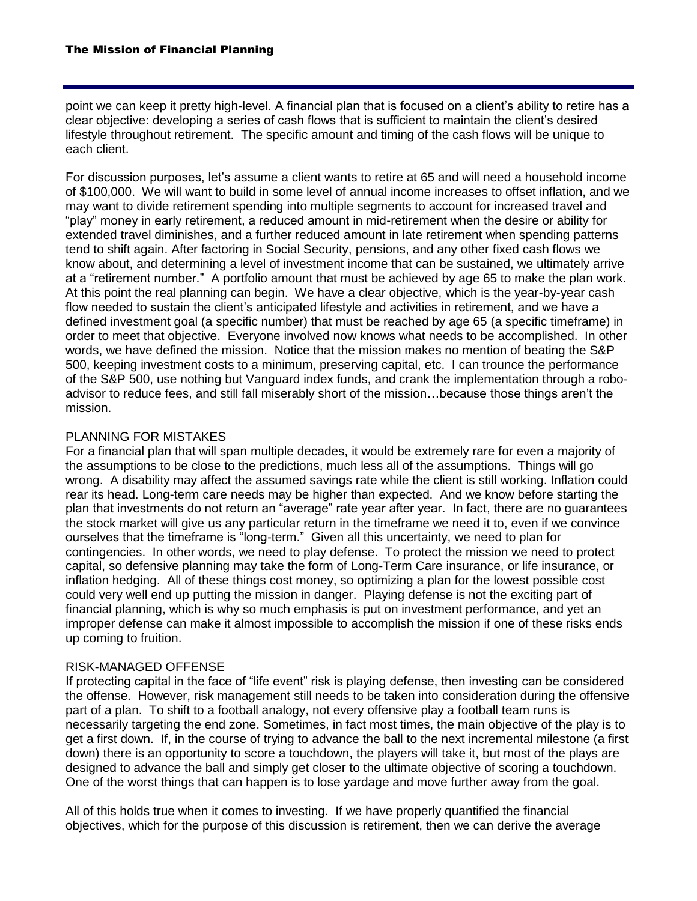point we can keep it pretty high-level. A financial plan that is focused on a client's ability to retire has a clear objective: developing a series of cash flows that is sufficient to maintain the client's desired lifestyle throughout retirement. The specific amount and timing of the cash flows will be unique to each client.

For discussion purposes, let's assume a client wants to retire at 65 and will need a household income of \$100,000. We will want to build in some level of annual income increases to offset inflation, and we may want to divide retirement spending into multiple segments to account for increased travel and "play" money in early retirement, a reduced amount in mid-retirement when the desire or ability for extended travel diminishes, and a further reduced amount in late retirement when spending patterns tend to shift again. After factoring in Social Security, pensions, and any other fixed cash flows we know about, and determining a level of investment income that can be sustained, we ultimately arrive at a "retirement number." A portfolio amount that must be achieved by age 65 to make the plan work. At this point the real planning can begin. We have a clear objective, which is the year-by-year cash flow needed to sustain the client's anticipated lifestyle and activities in retirement, and we have a defined investment goal (a specific number) that must be reached by age 65 (a specific timeframe) in order to meet that objective. Everyone involved now knows what needs to be accomplished. In other words, we have defined the mission. Notice that the mission makes no mention of beating the S&P 500, keeping investment costs to a minimum, preserving capital, etc. I can trounce the performance of the S&P 500, use nothing but Vanguard index funds, and crank the implementation through a roboadvisor to reduce fees, and still fall miserably short of the mission…because those things aren't the mission.

## PLANNING FOR MISTAKES

For a financial plan that will span multiple decades, it would be extremely rare for even a majority of the assumptions to be close to the predictions, much less all of the assumptions. Things will go wrong. A disability may affect the assumed savings rate while the client is still working. Inflation could rear its head. Long-term care needs may be higher than expected. And we know before starting the plan that investments do not return an "average" rate year after year. In fact, there are no guarantees the stock market will give us any particular return in the timeframe we need it to, even if we convince ourselves that the timeframe is "long-term." Given all this uncertainty, we need to plan for contingencies. In other words, we need to play defense. To protect the mission we need to protect capital, so defensive planning may take the form of Long-Term Care insurance, or life insurance, or inflation hedging. All of these things cost money, so optimizing a plan for the lowest possible cost could very well end up putting the mission in danger. Playing defense is not the exciting part of financial planning, which is why so much emphasis is put on investment performance, and yet an improper defense can make it almost impossible to accomplish the mission if one of these risks ends up coming to fruition.

## RISK-MANAGED OFFENSE

If protecting capital in the face of "life event" risk is playing defense, then investing can be considered the offense. However, risk management still needs to be taken into consideration during the offensive part of a plan. To shift to a football analogy, not every offensive play a football team runs is necessarily targeting the end zone. Sometimes, in fact most times, the main objective of the play is to get a first down. If, in the course of trying to advance the ball to the next incremental milestone (a first down) there is an opportunity to score a touchdown, the players will take it, but most of the plays are designed to advance the ball and simply get closer to the ultimate objective of scoring a touchdown. One of the worst things that can happen is to lose yardage and move further away from the goal.

All of this holds true when it comes to investing. If we have properly quantified the financial objectives, which for the purpose of this discussion is retirement, then we can derive the average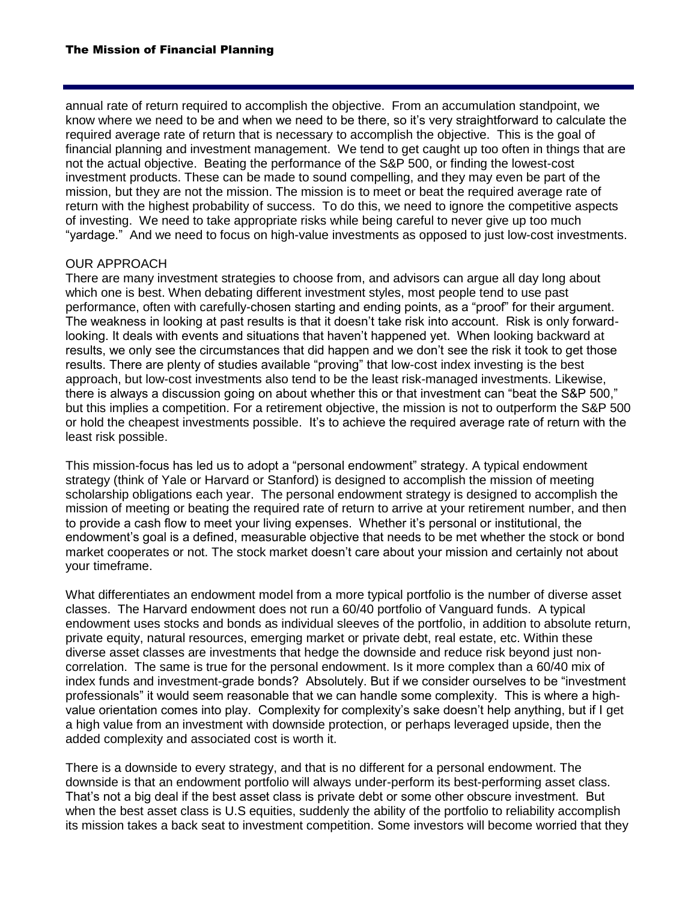annual rate of return required to accomplish the objective. From an accumulation standpoint, we know where we need to be and when we need to be there, so it's very straightforward to calculate the required average rate of return that is necessary to accomplish the objective. This is the goal of financial planning and investment management. We tend to get caught up too often in things that are not the actual objective. Beating the performance of the S&P 500, or finding the lowest-cost investment products. These can be made to sound compelling, and they may even be part of the mission, but they are not the mission. The mission is to meet or beat the required average rate of return with the highest probability of success. To do this, we need to ignore the competitive aspects of investing. We need to take appropriate risks while being careful to never give up too much "yardage." And we need to focus on high-value investments as opposed to just low-cost investments.

## OUR APPROACH

There are many investment strategies to choose from, and advisors can argue all day long about which one is best. When debating different investment styles, most people tend to use past performance, often with carefully-chosen starting and ending points, as a "proof" for their argument. The weakness in looking at past results is that it doesn't take risk into account. Risk is only forwardlooking. It deals with events and situations that haven't happened yet. When looking backward at results, we only see the circumstances that did happen and we don't see the risk it took to get those results. There are plenty of studies available "proving" that low-cost index investing is the best approach, but low-cost investments also tend to be the least risk-managed investments. Likewise, there is always a discussion going on about whether this or that investment can "beat the S&P 500," but this implies a competition. For a retirement objective, the mission is not to outperform the S&P 500 or hold the cheapest investments possible. It's to achieve the required average rate of return with the least risk possible.

This mission-focus has led us to adopt a "personal endowment" strategy. A typical endowment strategy (think of Yale or Harvard or Stanford) is designed to accomplish the mission of meeting scholarship obligations each year. The personal endowment strategy is designed to accomplish the mission of meeting or beating the required rate of return to arrive at your retirement number, and then to provide a cash flow to meet your living expenses. Whether it's personal or institutional, the endowment's goal is a defined, measurable objective that needs to be met whether the stock or bond market cooperates or not. The stock market doesn't care about your mission and certainly not about your timeframe.

What differentiates an endowment model from a more typical portfolio is the number of diverse asset classes. The Harvard endowment does not run a 60/40 portfolio of Vanguard funds. A typical endowment uses stocks and bonds as individual sleeves of the portfolio, in addition to absolute return, private equity, natural resources, emerging market or private debt, real estate, etc. Within these diverse asset classes are investments that hedge the downside and reduce risk beyond just noncorrelation. The same is true for the personal endowment. Is it more complex than a 60/40 mix of index funds and investment-grade bonds? Absolutely. But if we consider ourselves to be "investment professionals" it would seem reasonable that we can handle some complexity. This is where a highvalue orientation comes into play. Complexity for complexity's sake doesn't help anything, but if I get a high value from an investment with downside protection, or perhaps leveraged upside, then the added complexity and associated cost is worth it.

There is a downside to every strategy, and that is no different for a personal endowment. The downside is that an endowment portfolio will always under-perform its best-performing asset class. That's not a big deal if the best asset class is private debt or some other obscure investment. But when the best asset class is U.S equities, suddenly the ability of the portfolio to reliability accomplish its mission takes a back seat to investment competition. Some investors will become worried that they